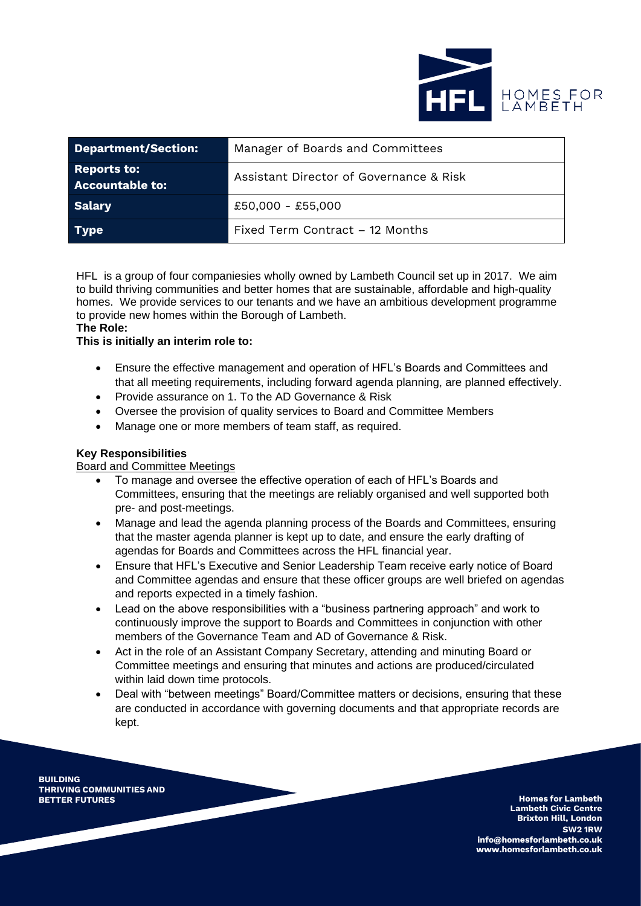

| <b>Department/Section:</b>                   | Manager of Boards and Committees        |
|----------------------------------------------|-----------------------------------------|
| <b>Reports to:</b><br><b>Accountable to:</b> | Assistant Director of Governance & Risk |
| Salary                                       | $£50,000 - £55,000$                     |
| Type                                         | Fixed Term Contract – 12 Months         |

HFL is a group of four companiesies wholly owned by Lambeth Council set up in 2017. We aim to build thriving communities and better homes that are sustainable, affordable and high-quality homes. We provide services to our tenants and we have an ambitious development programme to provide new homes within the Borough of Lambeth.

#### **The Role:**

#### **This is initially an interim role to:**

- Ensure the effective management and operation of HFL's Boards and Committees and that all meeting requirements, including forward agenda planning, are planned effectively.
- Provide assurance on 1. To the AD Governance & Risk
- Oversee the provision of quality services to Board and Committee Members
- Manage one or more members of team staff, as required.

# **Key Responsibilities**

# Board and Committee Meetings

- To manage and oversee the effective operation of each of HFL's Boards and Committees, ensuring that the meetings are reliably organised and well supported both pre- and post-meetings.
- Manage and lead the agenda planning process of the Boards and Committees, ensuring that the master agenda planner is kept up to date, and ensure the early drafting of agendas for Boards and Committees across the HFL financial year.
- Ensure that HFL's Executive and Senior Leadership Team receive early notice of Board and Committee agendas and ensure that these officer groups are well briefed on agendas and reports expected in a timely fashion.
- Lead on the above responsibilities with a "business partnering approach" and work to continuously improve the support to Boards and Committees in conjunction with other members of the Governance Team and AD of Governance & Risk.
- Act in the role of an Assistant Company Secretary, attending and minuting Board or Committee meetings and ensuring that minutes and actions are produced/circulated within laid down time protocols.
- Deal with "between meetings" Board/Committee matters or decisions, ensuring that these are conducted in accordance with governing documents and that appropriate records are kept.

**BUILDING THRIVING COMMUNITIES AND**

**Homes** for Lambeth **Lambeth Civic Centre Brixton Hill, London SW2 1RW [info@homesforlambeth.co.uk](mailto:info@homesforlambeth.co.uk) [www.homesforlambeth.co.uk](http://www.homesforlambeth.co.uk/)**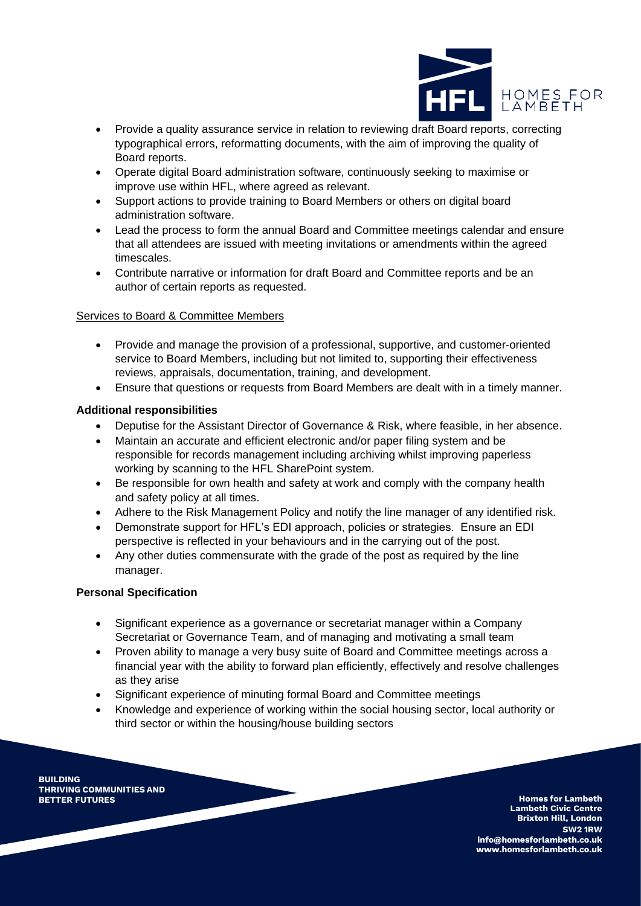

- Provide a quality assurance service in relation to reviewing draft Board reports, correcting typographical errors, reformatting documents, with the aim of improving the quality of Board reports.
- Operate digital Board administration software, continuously seeking to maximise or improve use within HFL, where agreed as relevant.
- Support actions to provide training to Board Members or others on digital board administration software.
- Lead the process to form the annual Board and Committee meetings calendar and ensure that all attendees are issued with meeting invitations or amendments within the agreed timescales.
- Contribute narrative or information for draft Board and Committee reports and be an author of certain reports as requested.

## Services to Board & Committee Members

- Provide and manage the provision of a professional, supportive, and customer-oriented service to Board Members, including but not limited to, supporting their effectiveness reviews, appraisals, documentation, training, and development.
- Ensure that questions or requests from Board Members are dealt with in a timely manner.

## **Additional responsibilities**

- Deputise for the Assistant Director of Governance & Risk, where feasible, in her absence.
- Maintain an accurate and efficient electronic and/or paper filing system and be responsible for records management including archiving whilst improving paperless working by scanning to the HFL SharePoint system.
- Be responsible for own health and safety at work and comply with the company health and safety policy at all times.
- Adhere to the Risk Management Policy and notify the line manager of any identified risk.
- Demonstrate support for HFL's EDI approach, policies or strategies. Ensure an EDI perspective is reflected in your behaviours and in the carrying out of the post.
- Any other duties commensurate with the grade of the post as required by the line manager.

#### **Personal Specification**

- Significant experience as a governance or secretariat manager within a Company Secretariat or Governance Team, and of managing and motivating a small team
- Proven ability to manage a very busy suite of Board and Committee meetings across a financial year with the ability to forward plan efficiently, effectively and resolve challenges as they arise
- Significant experience of minuting formal Board and Committee meetings
- Knowledge and experience of working within the social housing sector, local authority or third sector or within the housing/house building sectors

**BUILDING THRIVING COMMUNITIES AND**

**Homes** for Lambeth **Lambeth Civic Centre Brixton Hill, London SW2 1RW [info@homesforlambeth.co.uk](mailto:info@homesforlambeth.co.uk) [www.homesforlambeth.co.uk](http://www.homesforlambeth.co.uk/)**